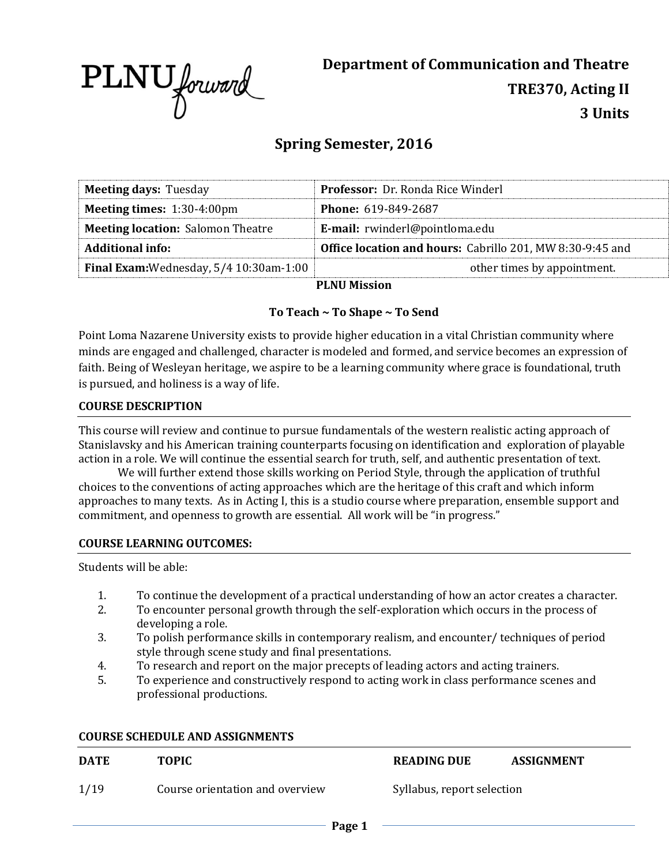

**Department of Communication and Theatre TRE370, Acting II 3 Units**

# **Spring Semester, 2016**

| <b>Meeting days: Tuesday</b>                | <b>Professor:</b> Dr. Ronda Rice Winderl                         |  |  |  |
|---------------------------------------------|------------------------------------------------------------------|--|--|--|
| <b>Meeting times:</b> $1:30-4:00 \text{pm}$ | <b>Phone: 619-849-2687</b>                                       |  |  |  |
| <b>Meeting location: Salomon Theatre</b>    | E-mail: rwinderl@pointloma.edu                                   |  |  |  |
| <b>Additional info:</b>                     | <b>Office location and hours:</b> Cabrillo 201, MW 8:30-9:45 and |  |  |  |
| Final Exam: Wednesday, 5/4 10:30am-1:00     | other times by appointment.                                      |  |  |  |
| $\mathbf{D}$ i alle also $\mathbf{L}$       |                                                                  |  |  |  |

**PLNU Mission**

## **To Teach ~ To Shape ~ To Send**

Point Loma Nazarene University exists to provide higher education in a vital Christian community where minds are engaged and challenged, character is modeled and formed, and service becomes an expression of faith. Being of Wesleyan heritage, we aspire to be a learning community where grace is foundational, truth is pursued, and holiness is a way of life.

### **COURSE DESCRIPTION**

This course will review and continue to pursue fundamentals of the western realistic acting approach of Stanislavsky and his American training counterparts focusing on identification and exploration of playable action in a role. We will continue the essential search for truth, self, and authentic presentation of text.

We will further extend those skills working on Period Style, through the application of truthful choices to the conventions of acting approaches which are the heritage of this craft and which inform approaches to many texts. As in Acting I, this is a studio course where preparation, ensemble support and commitment, and openness to growth are essential. All work will be "in progress."

#### **COURSE LEARNING OUTCOMES:**

Students will be able:

- 1. To continue the development of a practical understanding of how an actor creates a character.
- 2. To encounter personal growth through the self-exploration which occurs in the process of developing a role.
- 3. To polish performance skills in contemporary realism, and encounter/ techniques of period style through scene study and final presentations.
- 4. To research and report on the major precepts of leading actors and acting trainers.
- 5. To experience and constructively respond to acting work in class performance scenes and professional productions.

## **COURSE SCHEDULE AND ASSIGNMENTS**

| <b>DATE</b> | <b>TOPIC</b>                    | <b>READING DUE</b>         | <b>ASSIGNMENT</b> |
|-------------|---------------------------------|----------------------------|-------------------|
| 1/19        | Course orientation and overview | Syllabus, report selection |                   |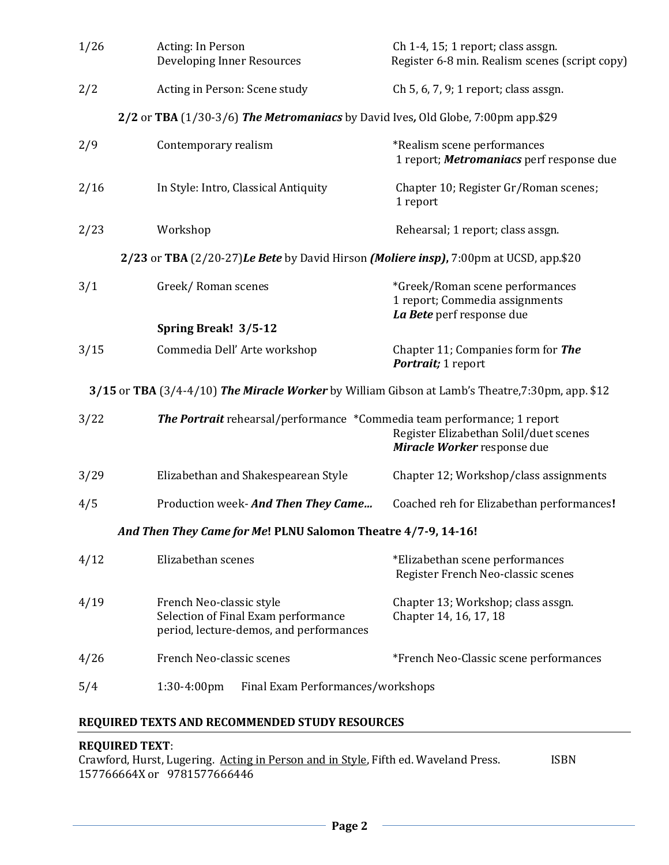| 1/26 | Acting: In Person<br><b>Developing Inner Resources</b>                                                                                                  | Ch 1-4, 15; 1 report; class assgn.<br>Register 6-8 min. Realism scenes (script copy)           |  |  |  |  |
|------|---------------------------------------------------------------------------------------------------------------------------------------------------------|------------------------------------------------------------------------------------------------|--|--|--|--|
| 2/2  | Acting in Person: Scene study                                                                                                                           | Ch 5, 6, 7, 9; 1 report; class assgn.                                                          |  |  |  |  |
|      | 2/2 or TBA (1/30-3/6) The Metromaniacs by David Ives, Old Globe, 7:00pm app.\$29                                                                        |                                                                                                |  |  |  |  |
| 2/9  | Contemporary realism                                                                                                                                    | *Realism scene performances<br>1 report; Metromaniacs perf response due                        |  |  |  |  |
| 2/16 | In Style: Intro, Classical Antiquity                                                                                                                    | Chapter 10; Register Gr/Roman scenes;<br>1 report                                              |  |  |  |  |
| 2/23 | Workshop                                                                                                                                                | Rehearsal; 1 report; class assgn.                                                              |  |  |  |  |
|      | 2/23 or TBA (2/20-27) Le Bete by David Hirson (Moliere insp), 7:00pm at UCSD, app.\$20                                                                  |                                                                                                |  |  |  |  |
| 3/1  | Greek/Roman scenes                                                                                                                                      | *Greek/Roman scene performances<br>1 report; Commedia assignments<br>La Bete perf response due |  |  |  |  |
|      | Spring Break! 3/5-12                                                                                                                                    |                                                                                                |  |  |  |  |
| 3/15 | Commedia Dell' Arte workshop                                                                                                                            | Chapter 11; Companies form for The<br>Portrait; 1 report                                       |  |  |  |  |
|      | 3/15 or TBA (3/4-4/10) The Miracle Worker by William Gibson at Lamb's Theatre, 7:30pm, app. \$12                                                        |                                                                                                |  |  |  |  |
| 3/22 | <b>The Portrait</b> rehearsal/performance *Commedia team performance; 1 report<br>Register Elizabethan Solil/duet scenes<br>Miracle Worker response due |                                                                                                |  |  |  |  |
| 3/29 | Elizabethan and Shakespearean Style                                                                                                                     | Chapter 12; Workshop/class assignments                                                         |  |  |  |  |
| 4/5  | Production week- And Then They Came                                                                                                                     | Coached reh for Elizabethan performances!                                                      |  |  |  |  |
|      | And Then They Came for Me! PLNU Salomon Theatre 4/7-9, 14-16!                                                                                           |                                                                                                |  |  |  |  |
| 4/12 | Elizabethan scenes                                                                                                                                      | *Elizabethan scene performances<br>Register French Neo-classic scenes                          |  |  |  |  |
| 4/19 | French Neo-classic style<br>Selection of Final Exam performance<br>period, lecture-demos, and performances                                              | Chapter 13; Workshop; class assgn.<br>Chapter 14, 16, 17, 18                                   |  |  |  |  |
| 4/26 | French Neo-classic scenes                                                                                                                               | *French Neo-Classic scene performances                                                         |  |  |  |  |
| 5/4  | $1:30-4:00$ pm<br>Final Exam Performances/workshops                                                                                                     |                                                                                                |  |  |  |  |

## **REQUIRED TEXTS AND RECOMMENDED STUDY RESOURCES**

## **REQUIRED TEXT**:

Crawford, Hurst, Lugering. Acting in Person and in Style, Fifth ed. Waveland Press. **ISBN** 157766664X or 9781577666446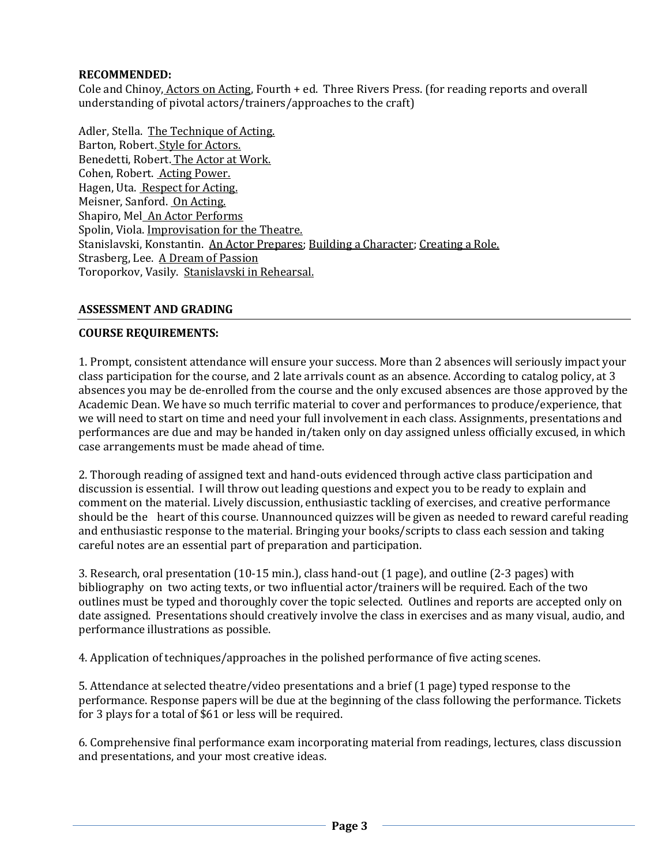## **RECOMMENDED:**

Cole and Chinoy, Actors on Acting, Fourth + ed. Three Rivers Press. (for reading reports and overall understanding of pivotal actors/trainers/approaches to the craft)

Adler, Stella. The Technique of Acting. Barton, Robert. Style for Actors. Benedetti, Robert. The Actor at Work. Cohen, Robert. Acting Power. Hagen, Uta. Respect for Acting. Meisner, Sanford. On Acting. Shapiro, Mel An Actor Performs Spolin, Viola. Improvisation for the Theatre. Stanislavski, Konstantin. An Actor Prepares; Building a Character; Creating a Role. Strasberg, Lee. A Dream of Passion Toroporkov, Vasily. Stanislavski in Rehearsal.

## **ASSESSMENT AND GRADING**

## **COURSE REQUIREMENTS:**

1. Prompt, consistent attendance will ensure your success. More than 2 absences will seriously impact your class participation for the course, and 2 late arrivals count as an absence. According to catalog policy, at 3 absences you may be de-enrolled from the course and the only excused absences are those approved by the Academic Dean. We have so much terrific material to cover and performances to produce/experience, that we will need to start on time and need your full involvement in each class. Assignments, presentations and performances are due and may be handed in/taken only on day assigned unless officially excused, in which case arrangements must be made ahead of time.

2. Thorough reading of assigned text and hand-outs evidenced through active class participation and discussion is essential. I will throw out leading questions and expect you to be ready to explain and comment on the material. Lively discussion, enthusiastic tackling of exercises, and creative performance should be the heart of this course. Unannounced quizzes will be given as needed to reward careful reading and enthusiastic response to the material. Bringing your books/scripts to class each session and taking careful notes are an essential part of preparation and participation.

3. Research, oral presentation (10-15 min.), class hand-out (1 page), and outline (2-3 pages) with bibliography on two acting texts, or two influential actor/trainers will be required. Each of the two outlines must be typed and thoroughly cover the topic selected. Outlines and reports are accepted only on date assigned. Presentations should creatively involve the class in exercises and as many visual, audio, and performance illustrations as possible.

4. Application of techniques/approaches in the polished performance of five acting scenes.

5. Attendance at selected theatre/video presentations and a brief (1 page) typed response to the performance. Response papers will be due at the beginning of the class following the performance. Tickets for 3 plays for a total of \$61 or less will be required.

6. Comprehensive final performance exam incorporating material from readings, lectures, class discussion and presentations, and your most creative ideas.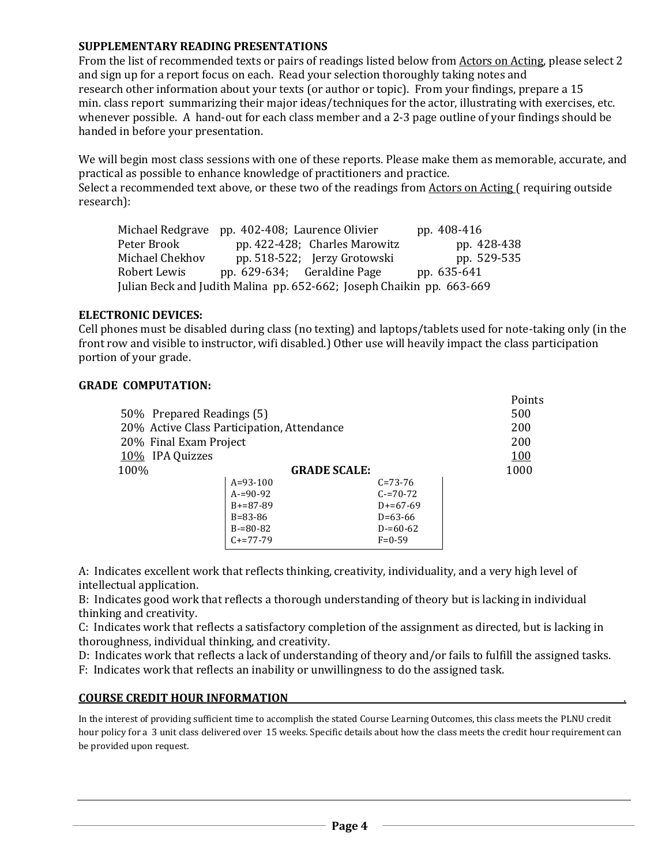### **SUPPLEMENTARY READING PRESENTATIONS**

From the list of recommended texts or pairs of readings listed below from Actors on Acting, please select 2 and sign up for a report focus on each. Read your selection thoroughly taking notes and research other information about your texts (or author or topic). From your findings, prepare a 15 min. class report summarizing their major ideas/techniques for the actor, illustrating with exercises, etc. whenever possible. A hand-out for each class member and a 2-3 page outline of your findings should be handed in before your presentation.

We will begin most class sessions with one of these reports. Please make them as memorable, accurate, and practical as possible to enhance knowledge of practitioners and practice.

Select a recommended text above, or these two of the readings from Actors on Acting ( requiring outside research):

Michael Redgrave pp. 402-408; Laurence Olivier pp. 408-416 Peter Brook pp. 422-428; Charles Marowitz pp. 428-438 Michael Chekhov pp. 518-522; Jerzy Grotowski pp. 529-535 Robert Lewis pp. 629-634; Geraldine Page pp. 635-641 Julian Beck and Judith Malina pp. 652-662; Joseph Chaikin pp. 663-669

#### **ELECTRONIC DEVICES:**

Cell phones must be disabled during class (no texting) and laptops/tablets used for note-taking only (in the front row and visible to instructor, wifi disabled.) Other use will heavily impact the class participation portion of your grade.

#### **GRADE COMPUTATION:**

| 50\% Prepared Readings (5)<br>20% Active Class Participation, Attendance | Points<br>500<br>200 |               |      |
|--------------------------------------------------------------------------|----------------------|---------------|------|
| 20% Final Exam Project                                                   |                      |               | 200  |
| 10% IPA Quizzes                                                          | <u>100</u>           |               |      |
| 100%                                                                     | <b>GRADE SCALE:</b>  |               | 1000 |
|                                                                          | $A=93-100$           | $C = 73 - 76$ |      |
|                                                                          | $A = 90 - 92$        | $C = 70 - 72$ |      |
|                                                                          | $B+=87-89$           | $D+=67-69$    |      |
|                                                                          | $B = 83 - 86$        | $D=63-66$     |      |
|                                                                          | $B = 80 - 82$        | $D = 60 - 62$ |      |
|                                                                          | $C+=77-79$           | $F = 0.59$    |      |

A: Indicates excellent work that reflects thinking, creativity, individuality, and a very high level of intellectual application.

B: Indicates good work that reflects a thorough understanding of theory but is lacking in individual thinking and creativity.

C: Indicates work that reflects a satisfactory completion of the assignment as directed, but is lacking in thoroughness, individual thinking, and creativity.

D: Indicates work that reflects a lack of understanding of theory and/or fails to fulfill the assigned tasks. F: Indicates work that reflects an inability or unwillingness to do the assigned task.

#### **COURSE CREDIT HOUR INFORMATION** .

In the interest of providing sufficient time to accomplish the stated Course Learning Outcomes, this class meets the PLNU credit hour policy for a 3 unit class delivered over 15 weeks. Specific details about how the class meets the credit hour requirement can be provided upon request.